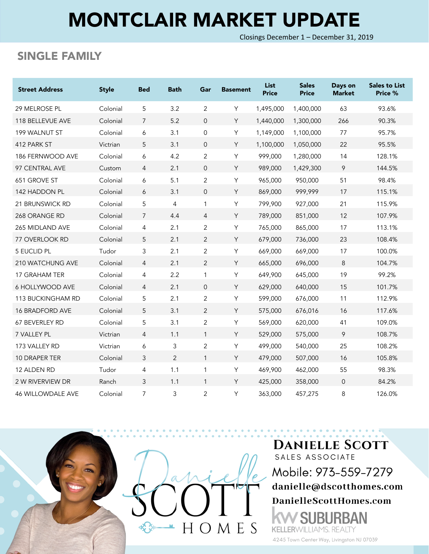## MONTCLAIR MARKET UPDATE

Closings December 1 – December 31, 2019

## SINGLE FAMILY

| <b>Street Address</b>    | <b>Style</b> | <b>Bed</b>     | <b>Bath</b>    | Gar            | <b>Basement</b> | <b>List</b><br><b>Price</b> | <b>Sales</b><br><b>Price</b> | Days on<br><b>Market</b> | <b>Sales to List</b><br>Price % |
|--------------------------|--------------|----------------|----------------|----------------|-----------------|-----------------------------|------------------------------|--------------------------|---------------------------------|
| <b>29 MELROSE PL</b>     | Colonial     | 5              | 3.2            | 2              | Y               | 1,495,000                   | 1,400,000                    | 63                       | 93.6%                           |
| 118 BELLEVUE AVE         | Colonial     | 7              | 5.2            | $\overline{0}$ | Y               | 1,440,000                   | 1,300,000                    | 266                      | 90.3%                           |
| 199 WALNUT ST            | Colonial     | 6              | 3.1            | 0              | Y               | 1,149,000                   | 1,100,000                    | 77                       | 95.7%                           |
| 412 PARK ST              | Victrian     | 5              | 3.1            | $\overline{0}$ | Y               | 1,100,000                   | 1,050,000                    | 22                       | 95.5%                           |
| 186 FERNWOOD AVE         | Colonial     | 6              | 4.2            | $\overline{2}$ | Υ               | 999,000                     | 1,280,000                    | 14                       | 128.1%                          |
| 97 CENTRAL AVE           | Custom       | 4              | 2.1            | $\overline{0}$ | Y               | 989,000                     | 1,429,300                    | 9                        | 144.5%                          |
| 651 GROVE ST             | Colonial     | 6              | 5.1            | $\overline{2}$ | Υ               | 965,000                     | 950,000                      | 51                       | 98.4%                           |
| 142 HADDON PL            | Colonial     | 6              | 3.1            | $\overline{0}$ | Y               | 869,000                     | 999,999                      | 17                       | 115.1%                          |
| 21 BRUNSWICK RD          | Colonial     | 5              | 4              | $\mathbf{1}$   | Y               | 799,900                     | 927,000                      | 21                       | 115.9%                          |
| 268 ORANGE RD            | Colonial     | $\overline{7}$ | 4.4            | $\overline{4}$ | Y               | 789,000                     | 851,000                      | 12                       | 107.9%                          |
| 265 MIDLAND AVE          | Colonial     | 4              | 2.1            | 2              | Υ               | 765,000                     | 865,000                      | 17                       | 113.1%                          |
| <b>77 OVERLOOK RD</b>    | Colonial     | 5              | 2.1            | 2              | Y               | 679,000                     | 736,000                      | 23                       | 108.4%                          |
| 5 EUCLID PL              | Tudor        | 3              | 2.1            | $\overline{c}$ | Y               | 669,000                     | 669,000                      | 17                       | 100.0%                          |
| 210 WATCHUNG AVE         | Colonial     | $\overline{4}$ | 2.1            | $\overline{2}$ | Y               | 665,000                     | 696,000                      | 8                        | 104.7%                          |
| 17 GRAHAM TER            | Colonial     | 4              | 2.2            | $\mathbf{1}$   | Υ               | 649,900                     | 645,000                      | 19                       | 99.2%                           |
| 6 HOLLYWOOD AVE          | Colonial     | $\overline{4}$ | 2.1            | $\overline{0}$ | Y               | 629,000                     | 640,000                      | 15                       | 101.7%                          |
| 113 BUCKINGHAM RD        | Colonial     | 5              | 2.1            | $\overline{c}$ | Y               | 599,000                     | 676,000                      | 11                       | 112.9%                          |
| <b>16 BRADFORD AVE</b>   | Colonial     | 5              | 3.1            | $\overline{2}$ | Y               | 575,000                     | 676,016                      | 16                       | 117.6%                          |
| 67 BEVERLEY RD           | Colonial     | 5              | 3.1            | $\overline{2}$ | Υ               | 569,000                     | 620,000                      | 41                       | 109.0%                          |
| 7 VALLEY PL              | Victrian     | $\overline{4}$ | 1.1            | $\mathbf{1}$   | Y               | 529,000                     | 575,000                      | 9                        | 108.7%                          |
| 173 VALLEY RD            | Victrian     | 6              | 3              | $\overline{c}$ | Y               | 499,000                     | 540,000                      | 25                       | 108.2%                          |
| 10 DRAPER TER            | Colonial     | 3              | $\overline{2}$ | $\mathbf{1}$   | Y               | 479,000                     | 507,000                      | 16                       | 105.8%                          |
| 12 ALDEN RD              | Tudor        | 4              | 1.1            | 1              | Υ               | 469,900                     | 462,000                      | 55                       | 98.3%                           |
| 2 W RIVERVIEW DR         | Ranch        | 3              | 1.1            | $\mathbf{1}$   | Y               | 425,000                     | 358,000                      | $\mathbf 0$              | 84.2%                           |
| <b>46 WILLOWDALE AVE</b> | Colonial     | 7              | 3              | 2              | Y               | 363,000                     | 457,275                      | 8                        | 126.0%                          |



**DANIELLE SCOTT** SALES ASSOCIATE Mobile: 973-559-7279 danielle@dscotthomes.com DanielleScottHomes.com ۱N

4245 Town Center Way, Livingston NJ 07039

**KELLERWILLIAMS, REALTY**